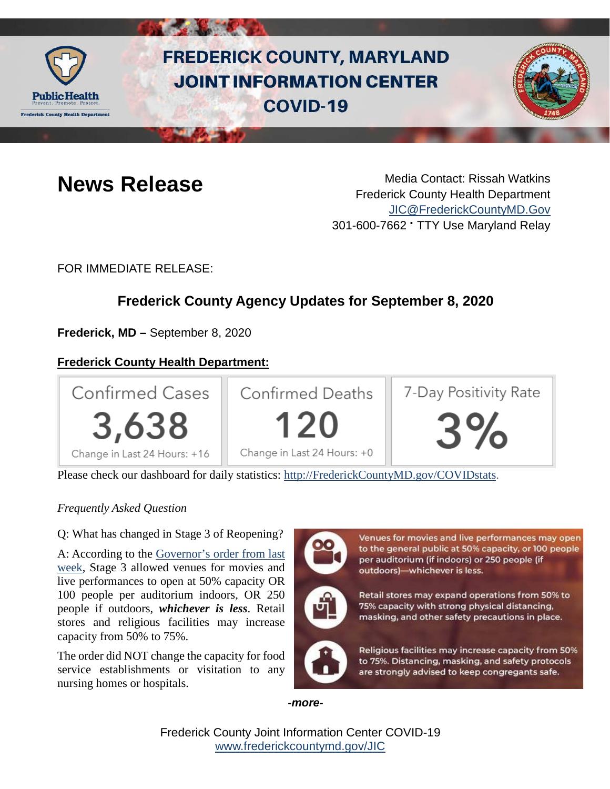

# **FREDERICK COUNTY, MARYLAND JOINT INFORMATION CENTER COVID-19**



**News Release** Media Contact: Rissah Watkins Frederick County Health Department [JIC@FrederickCountyMD.Gov](mailto:JIC@FrederickCountyMD.Gov) 301-600-7662 • TTY Use Maryland Relay

FOR IMMEDIATE RELEASE:

# **Frederick County Agency Updates for September 8, 2020**

**Frederick, MD –** September 8, 2020

# **Frederick County Health Department:**



Please check our dashboard for daily statistics: [http://FrederickCountyMD.gov/COVIDstats.](http://frederickcountymd.gov/COVIDstats)

### *Frequently Asked Question*

Q: What has changed in Stage 3 of Reopening?

A: According to the [Governor's order from last](https://governor.maryland.gov/wp-content/uploads/2020/09/Gatherings-12th-AMENDED-9.1.20.pdf)  [week,](https://governor.maryland.gov/wp-content/uploads/2020/09/Gatherings-12th-AMENDED-9.1.20.pdf) Stage 3 allowed venues for movies and live performances to open at 50% capacity OR 100 people per auditorium indoors, OR 250 people if outdoors, *whichever is less*. Retail stores and religious facilities may increase capacity from 50% to 75%.

The order did NOT change the capacity for food service establishments or visitation to any nursing homes or hospitals.

Venues for movies and live performances may open to the general public at 50% capacity, or 100 people per auditorium (if indoors) or 250 people (if outdoors)-whichever is less.



Retail stores may expand operations from 50% to 75% capacity with strong physical distancing, masking, and other safety precautions in place.



Religious facilities may increase capacity from 50% to 75%. Distancing, masking, and safety protocols are strongly advised to keep congregants safe.

*-more-*

Frederick County Joint Information Center COVID-19 [www.frederickcountymd.gov/JIC](https://frederickcountymd.gov/JIC)